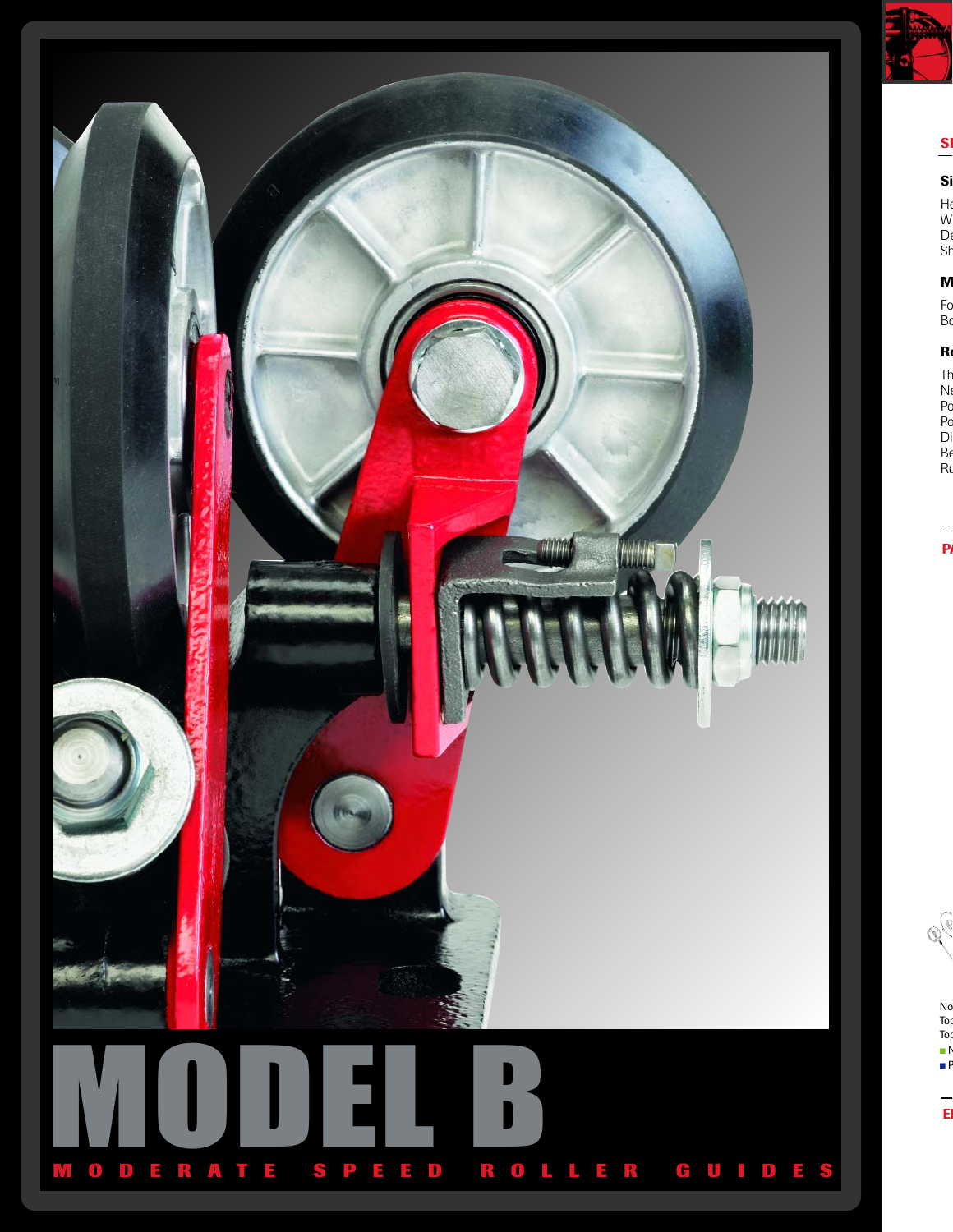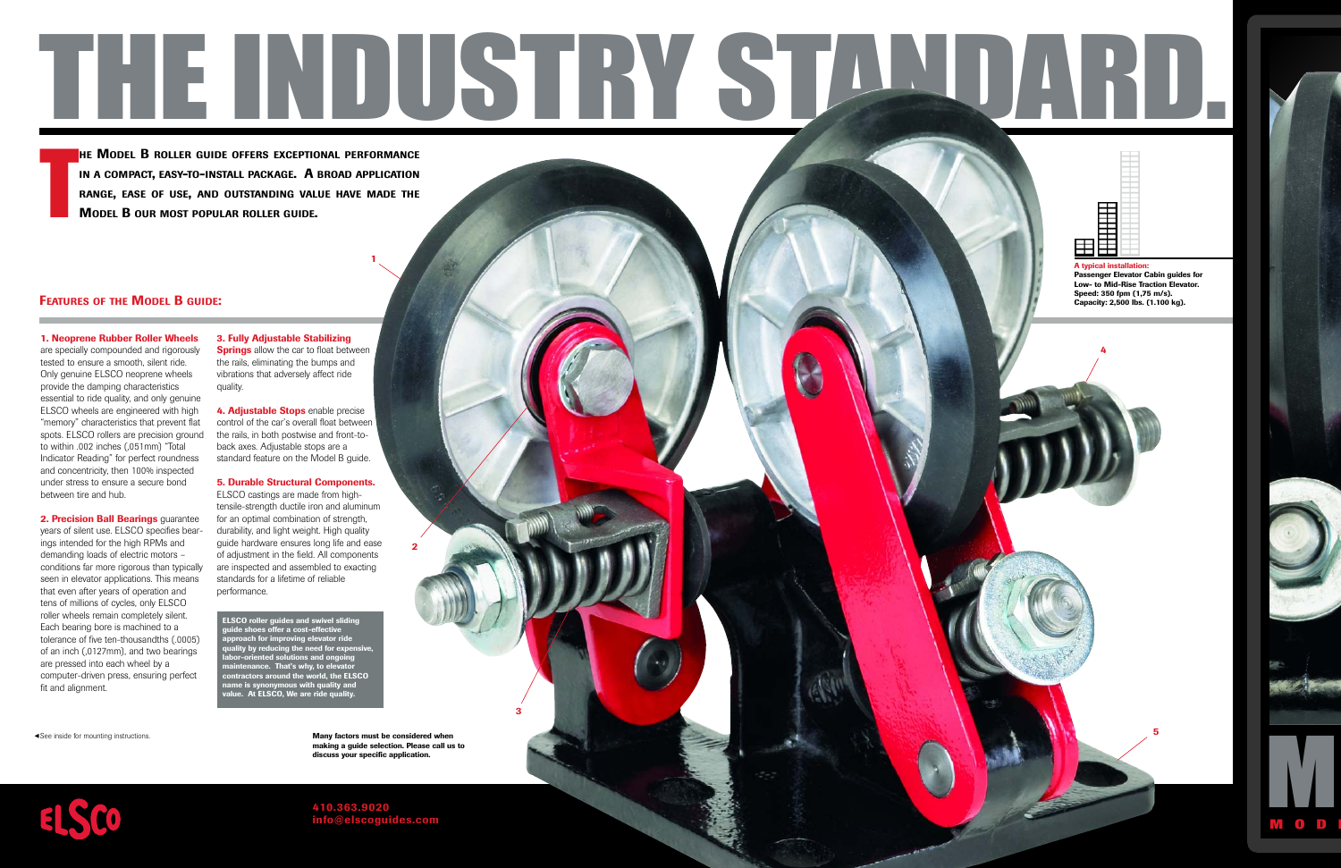

THE<br>TIME<br>M **MODEL B ROLLER GUIDE OFFERS EXCEPTIONAL PERFORMANCE IN <sup>A</sup> COMPACT, EASY-TO-INSTALL PACKAGE. A BROAD APPLICATION RANGE, EASE OF USE, AND OUTSTANDING VALUE HAVE MADE THE MODEL B OUR MOST POPULAR ROLLER GUIDE.** 

# **FEATURES OF THE MODEL B GUIDE:**

**1. Neoprene Rubber Roller Wheels** are specially compounded and rigorously tested to ensure a smooth, silent ride. Only genuine ELSCO neoprene wheels provide the damping characteristics essential to ride quality, and only genuine ELSCO wheels are engineered with high "memory" characteristics that prevent flat spots. ELSCO rollers are precision ground to within .002 inches (,051mm) "Total Indicator Reading" for perfect roundness and concentricity, then 100% inspected under stress to ensure a secure bond between tire and hub.

**2. Precision Ball Bearings** guarantee

years of silent use. ELSCO specifies bearings intended for the high RPMs and demanding loads of electric motors – conditions far more rigorous than typically seen in elevator applications. This means that even after years of operation and tens of millions of cycles, only ELSCO roller wheels remain completely silent. Each bearing bore is machined to a tolerance of five ten-thousandths (.0005) of an inch (,0127mm), and two bearings are pressed into each wheel by a computer-driven press, ensuring perfect fit and alignment.

**3. Fully Adjustable Stabilizing Springs** allow the car to float between the rails, eliminating the bumps and vibrations that adversely affect ride quality.

**1**

**4. Adjustable Stops** enable precise control of the car's overall float between the rails, in both postwise and front-toback axes. Adjustable stops are a standard feature on the Model B guide.

### **5. Durable Structural Components.**

ELSCO castings are made from hightensile-strength ductile iron and aluminum for an optimal combination of strength, durability, and light weight. High quality guide hardware ensures long life and ease of adjustment in the field. All components are inspected and assembled to exacting standards for a lifetime of reliable performance.

**ELSCO roller guides and swivel sliding guide shoes offer a cost-effective approach for improving elevator ride quality by reducing the need for expensive, labor-oriented solutions and ongoing maintenance. That's why, to elevator contractors around the world, the ELSCO name is synonymous with quality and value. At ELSCO, We are ride quality.**

► See inside for mounting instructions.

**Many factors must be considered when making a guide selection. Please call us to discuss your specific application.** 

**2**

**3**



**410.363.9020 info@elscoguides.com**

■■■■■■■■■■■■■■■■■■■■ ■■■■■■■■■■■■■■■■■■■■ **HHHHH** ■■■■■■■■■■ ■■■■■■■■■■ ■■■ ■■■ **A typical installation:** 

**4**

**Passenger Elevator Cabin guides for Low- to Mid-Rise Traction Elevator. Speed: 350 fpm (1,75 m/s). Capacity: 2,500 lbs. (1.100 kg).**

**5**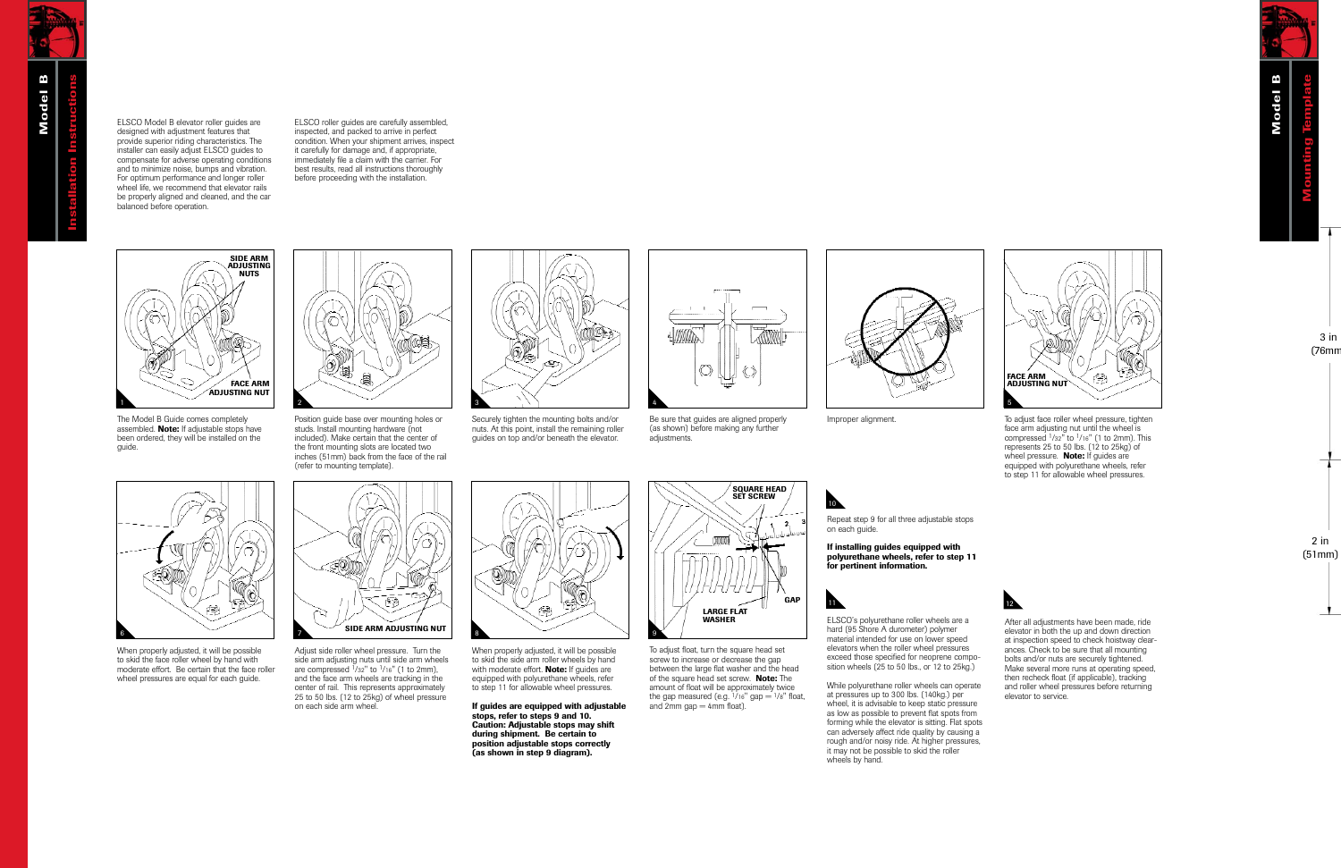ELSCO Model B elevator roller guides are designed with adjustment features that provide superior riding characteristics. The installer can easily adjust ELSCO guides to compensate for adverse operating conditions and to minimize noise, bumps and vibration. For optimum performance and longer roller wheel life, we recommend that elevator rails be properly aligned and cleaned, and the car balanced before operation.

ELSCO roller guides are carefully assembled, inspected, and packed to arrive in perfect condition. When your shipment arrives, inspect it carefully for damage and, if appropriate, immediately file a claim with the carrier. For best results, read all instructions thoroughly before proceeding with the installation.



The Model B Guide comes completely assembled. **Note:** If adjustable stops have been ordered, they will be installed on the guide.



Position guide base over mounting holes or studs. Install mounting hardware (not included). Make certain that the center of the front mounting slots are located two inches (51mm) back from the face of the rail (refer to mounting template).



Securely tighten the mounting bolts and/or nuts. At this point, install the remaining roller guides on top and/or beneath the elevator.



Be sure that guides are aligned properly (as shown) before making any further adjustments.

**SQUARE HEAD**



**11** 

10



Improper alignment. To adjust face roller wheel pressure, tighten face arm adjusting nut until the wheel is compressed 1/32" to 1/16" (1 to 2mm). This represents 25 to 50 lbs. (12 to 25kg) of wheel pressure. **Note:** If guides are equipped with polyurethane wheels, refer to step 11 for allowable wheel pressures.



When properly adjusted, it will be possible to skid the face roller wheel by hand with moderate effort. Be certain that the face roller wheel pressures are equal for each guide.



Adjust side roller wheel pressure. Turn the side arm adjusting nuts until side arm wheels are compressed  $\frac{1}{32}$ " to  $\frac{1}{16}$ " (1 to 2mm), and the face arm wheels are tracking in the center of rail. This represents approximately 25 to 50 lbs. (12 to 25kg) of wheel pressure on each side arm wheel.



When properly adjusted, it will be possible to skid the side arm roller wheels by hand with moderate effort. **Note:** If guides are equipped with polyurethane wheels, refer to step 11 for allowable wheel pressures.

**If guides are equipped with adjustable stops, refer to steps 9 and 10. Caution: Adjustable stops may shift during shipment. Be certain to position adjustable stops correctly (as shown in step 9 diagram).** 



To adjust float, turn the square head set screw to increase or decrease the gap between the large flat washer and the head of the square head set screw. **Note:** The amount of float will be approximately twice the gap measured (e.g.  $\frac{1}{16}$ " gap =  $\frac{1}{8}$ " float, and  $2mm$  gap  $=$  4mm float).

Repeat step 9 for all three adjustable stops on each guide.

**If installing guides equipped with polyurethane wheels, refer to step 11 for pertinent information.**

ELSCO's polyurethane roller wheels are a hard (95 Shore A durometer) polymer material intended for use on lower speed elevators when the roller wheel pressures exceed those specified for neoprene composition wheels (25 to 50 lbs., or 12 to 25kg.)

While polyurethane roller wheels can operate at pressures up to 300 lbs. (140kg.) per wheel, it is advisable to keep static pressure as low as possible to prevent flat spots from forming while the elevator is sitting. Flat spots can adversely affect ride quality by causing a rough and/or noisy ride. At higher pressures, it may not be possible to skid the roller wheels by hand.



12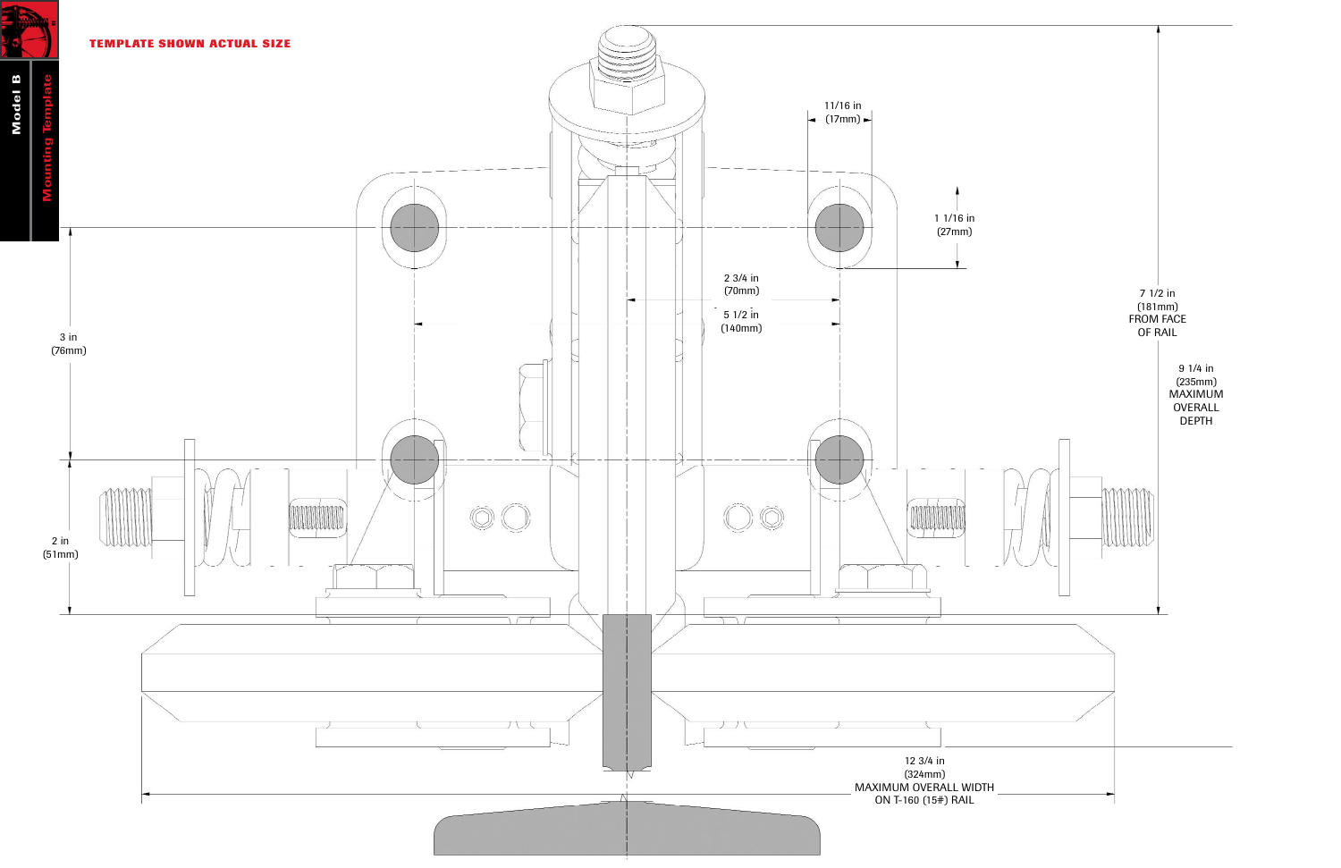